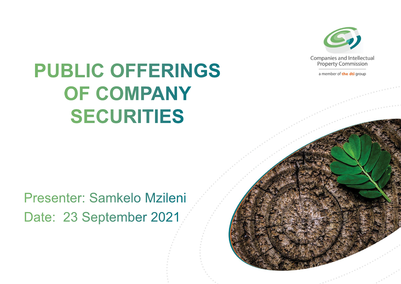

a member of the dti group

# **PUBLIC OFFERINGS** OF COMPANY **SECURITIES**

Presenter: Samkelo Mzileni Date: 23 September 2021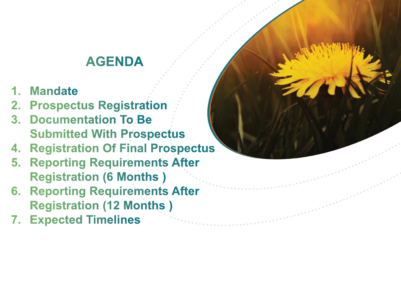## **AGENDA**

- 1. Mandate
- 2. Prospectus Registration
- 3. Documentation To Be **Submitted With Prospectus**
- **4. Registration Of Final Prospectus**
- 5. Reporting Requirements After **Registration (6 Months)**
- **6. Reporting Requirements After Registration (12 Months)**
- **7. Expected Timelines**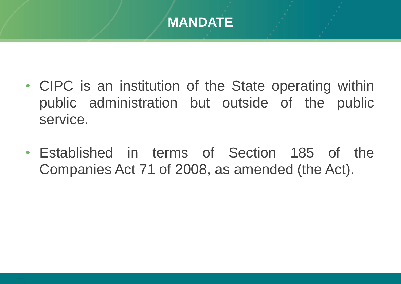

- CIPC is an institution of the State operating within public administration but outside of the public service.
- Established in terms of Section 185 of the Companies Act 71 of 2008, as amended (the Act).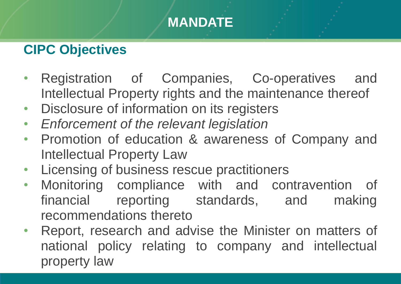## **MANDATE**

### **CIPC Objectives**

- Registration of Companies, Co-operatives and Intellectual Property rights and the maintenance thereof
- Disclosure of information on its registers
- *Enforcement of the relevant legislation*
- Promotion of education & awareness of Company and Intellectual Property Law
- Licensing of business rescue practitioners
- Monitoring compliance with and contravention of financial reporting standards, and making recommendations thereto
- Report, research and advise the Minister on matters of national policy relating to company and intellectual property law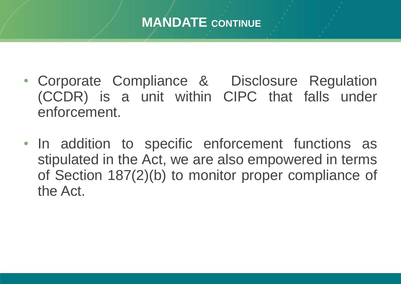#### **MANDATE CONTINUE**

- Corporate Compliance & Disclosure Regulation (CCDR) is a unit within CIPC that falls under enforcement.
- In addition to specific enforcement functions as stipulated in the Act, we are also empowered in terms of Section 187(2)(b) to monitor proper compliance of the Act.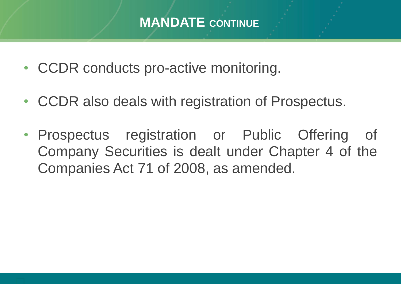#### **MANDATE CONTINUE**

- CCDR conducts pro-active monitoring.
- CCDR also deals with registration of Prospectus.
- Prospectus registration or Public Offering of Company Securities is dealt under Chapter 4 of the Companies Act 71 of 2008, as amended.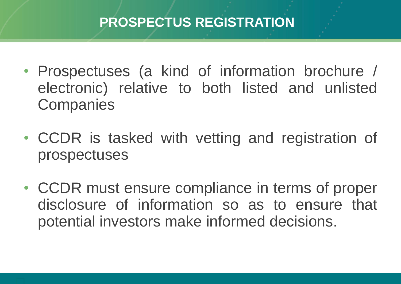### **PROSPECTUS REGISTRATION**

- Prospectuses (a kind of information brochure / electronic) relative to both listed and unlisted **Companies**
- CCDR is tasked with vetting and registration of prospectuses
- CCDR must ensure compliance in terms of proper disclosure of information so as to ensure that potential investors make informed decisions.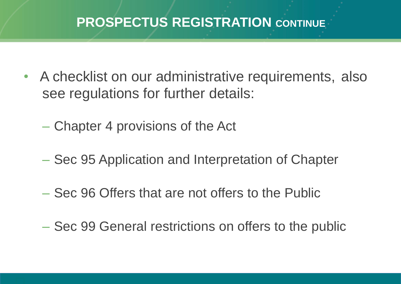#### **PROSPECTUS REGISTRATION CONTINUE**

- A checklist on our administrative requirements, also see regulations for further details:
	- Chapter 4 provisions of the Act
	- Sec 95 Application and Interpretation of Chapter
	- Sec 96 Offers that are not offers to the Public
	- Sec 99 General restrictions on offers to the public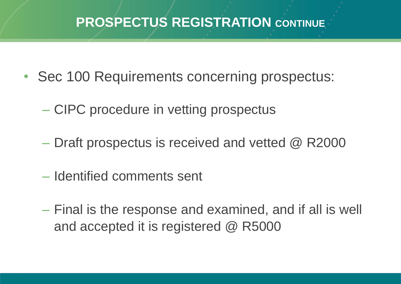#### **PROSPECTUS REGISTRATION CONTINUE**

- Sec 100 Requirements concerning prospectus:
	- CIPC procedure in vetting prospectus
	- Draft prospectus is received and vetted @ R2000
	- Identified comments sent
	- Final is the response and examined, and if all is well and accepted it is registered @ R5000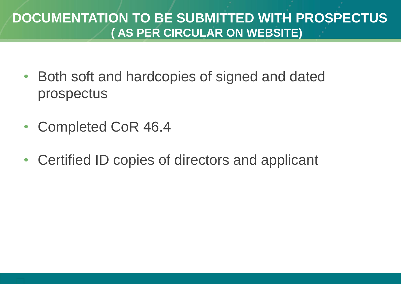#### **DOCUMENTATION TO BE SUBMITTED WITH PROSPECTUS ( AS PER CIRCULAR ON WEBSITE)**

- Both soft and hardcopies of signed and dated prospectus
- Completed CoR 46.4
- Certified ID copies of directors and applicant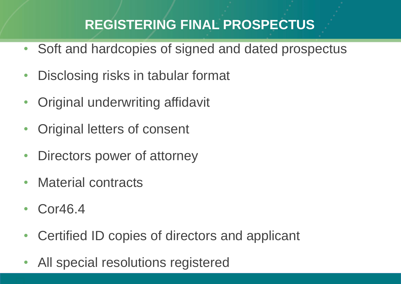### **REGISTERING FINAL PROSPECTUS**

- Soft and hardcopies of signed and dated prospectus
- Disclosing risks in tabular format
- Original underwriting affidavit
- Original letters of consent
- Directors power of attorney
- Material contracts
- Cor46.4
- Certified ID copies of directors and applicant
- All special resolutions registered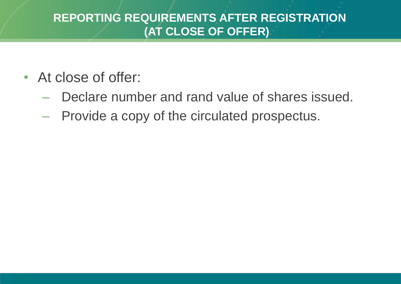#### **REPORTING REQUIREMENTS AFTER REGISTRATION (AT CLOSE OF OFFER)**

- At close of offer:
	- Declare number and rand value of shares issued.
	- Provide a copy of the circulated prospectus.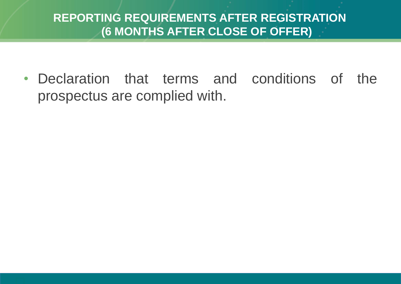#### **REPORTING REQUIREMENTS AFTER REGISTRATION (6 MONTHS AFTER CLOSE OF OFFER)**

• Declaration that terms and conditions of the prospectus are complied with.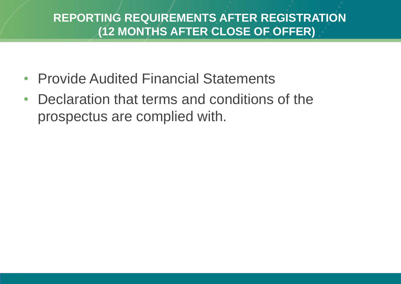#### **REPORTING REQUIREMENTS AFTER REGISTRATION (12 MONTHS AFTER CLOSE OF OFFER)**

- Provide Audited Financial Statements
- Declaration that terms and conditions of the prospectus are complied with.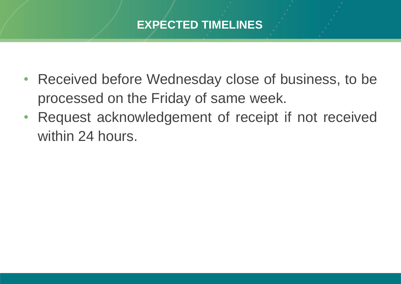#### **EXPECTED TIMELINES**

- Received before Wednesday close of business, to be processed on the Friday of same week.
- Request acknowledgement of receipt if not received within 24 hours.